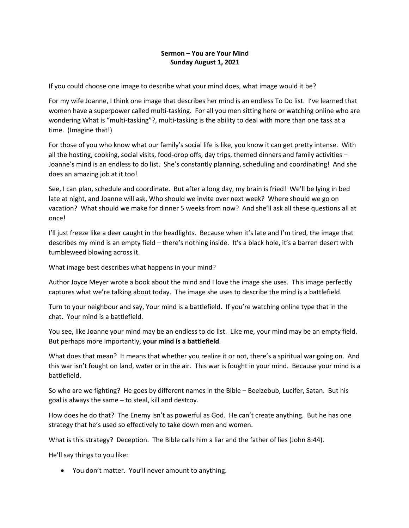### **Sermon – You are Your Mind Sunday August 1, 2021**

If you could choose one image to describe what your mind does, what image would it be?

For my wife Joanne, I think one image that describes her mind is an endless To Do list. I've learned that women have a superpower called multi-tasking. For all you men sitting here or watching online who are wondering What is "multi-tasking"?, multi-tasking is the ability to deal with more than one task at a time. (Imagine that!)

For those of you who know what our family's social life is like, you know it can get pretty intense. With all the hosting, cooking, social visits, food-drop offs, day trips, themed dinners and family activities – Joanne's mind is an endless to do list. She's constantly planning, scheduling and coordinating! And she does an amazing job at it too!

See, I can plan, schedule and coordinate. But after a long day, my brain is fried! We'll be lying in bed late at night, and Joanne will ask, Who should we invite over next week? Where should we go on vacation? What should we make for dinner 5 weeks from now? And she'll ask all these questions all at once!

I'll just freeze like a deer caught in the headlights. Because when it's late and I'm tired, the image that describes my mind is an empty field – there's nothing inside. It's a black hole, it's a barren desert with tumbleweed blowing across it.

What image best describes what happens in your mind?

Author Joyce Meyer wrote a book about the mind and I love the image she uses. This image perfectly captures what we're talking about today. The image she uses to describe the mind is a battlefield.

Turn to your neighbour and say, Your mind is a battlefield. If you're watching online type that in the chat. Your mind is a battlefield.

You see, like Joanne your mind may be an endless to do list. Like me, your mind may be an empty field. But perhaps more importantly, **your mind is a battlefield**.

What does that mean? It means that whether you realize it or not, there's a spiritual war going on. And this war isn't fought on land, water or in the air. This war is fought in your mind. Because your mind is a battlefield.

So who are we fighting? He goes by different names in the Bible – Beelzebub, Lucifer, Satan. But his goal is always the same – to steal, kill and destroy.

How does he do that? The Enemy isn't as powerful as God. He can't create anything. But he has one strategy that he's used so effectively to take down men and women.

What is this strategy? Deception. The Bible calls him a liar and the father of lies (John 8:44).

He'll say things to you like:

• You don't matter. You'll never amount to anything.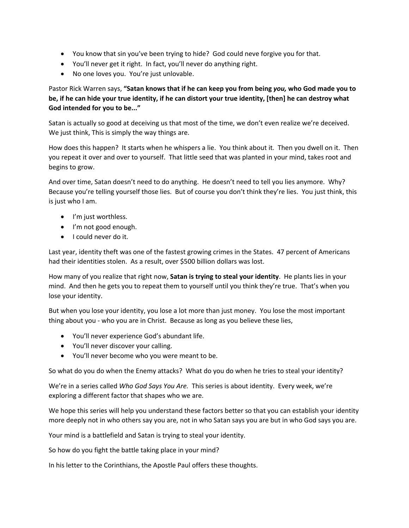- You know that sin you've been trying to hide? God could neve forgive you for that.
- You'll never get it right. In fact, you'll never do anything right.
- No one loves you. You're just unlovable.

# Pastor Rick Warren says, **"Satan knows that if he can keep you from being** *you,* **who God made you to be, if he can hide your true identity, if he can distort your true identity, [then] he can destroy what God intended for you to be..."**

Satan is actually so good at deceiving us that most of the time, we don't even realize we're deceived. We just think, This is simply the way things are.

How does this happen? It starts when he whispers a lie. You think about it. Then you dwell on it. Then you repeat it over and over to yourself. That little seed that was planted in your mind, takes root and begins to grow.

And over time, Satan doesn't need to do anything. He doesn't need to tell you lies anymore. Why? Because you're telling yourself those lies. But of course you don't think they're lies. You just think, this is just who I am.

- I'm just worthless.
- I'm not good enough.
- I could never do it.

Last year, identity theft was one of the fastest growing crimes in the States. 47 percent of Americans had their identities stolen. As a result, over \$500 billion dollars was lost.

How many of you realize that right now, **Satan is trying to steal your identity**. He plants lies in your mind. And then he gets you to repeat them to yourself until you think they're true. That's when you lose your identity.

But when you lose your identity, you lose a lot more than just money. You lose the most important thing about you - who you are in Christ. Because as long as you believe these lies,

- You'll never experience God's abundant life.
- You'll never discover your calling.
- You'll never become who you were meant to be.

So what do you do when the Enemy attacks? What do you do when he tries to steal your identity?

We're in a series called *Who God Says You Are.* This series is about identity. Every week, we're exploring a different factor that shapes who we are.

We hope this series will help you understand these factors better so that you can establish your identity more deeply not in who others say you are, not in who Satan says you are but in who God says you are.

Your mind is a battlefield and Satan is trying to steal your identity.

So how do you fight the battle taking place in your mind?

In his letter to the Corinthians, the Apostle Paul offers these thoughts.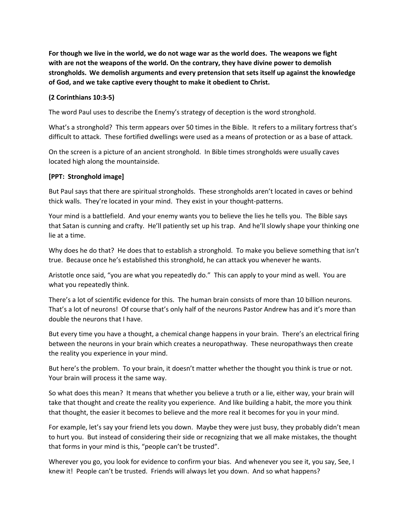**For though we live in the world, we do not wage war as the world does. The weapons we fight with are not the weapons of the world. On the contrary, they have divine power to demolish strongholds. We demolish arguments and every pretension that sets itself up against the knowledge of God, and we take captive every thought to make it obedient to Christ.**

### **(2 Corinthians 10:3-5)**

The word Paul uses to describe the Enemy's strategy of deception is the word stronghold.

What's a stronghold? This term appears over 50 times in the Bible. It refers to a military fortress that's difficult to attack. These fortified dwellings were used as a means of protection or as a base of attack.

On the screen is a picture of an ancient stronghold. In Bible times strongholds were usually caves located high along the mountainside.

#### **[PPT: Stronghold image]**

But Paul says that there are spiritual strongholds. These strongholds aren't located in caves or behind thick walls. They're located in your mind. They exist in your thought-patterns.

Your mind is a battlefield. And your enemy wants you to believe the lies he tells you. The Bible says that Satan is cunning and crafty. He'll patiently set up his trap. And he'll slowly shape your thinking one lie at a time.

Why does he do that? He does that to establish a stronghold. To make you believe something that isn't true. Because once he's established this stronghold, he can attack you whenever he wants.

Aristotle once said, "you are what you repeatedly do." This can apply to your mind as well. You are what you repeatedly think.

There's a lot of scientific evidence for this. The human brain consists of more than 10 billion neurons. That's a lot of neurons! Of course that's only half of the neurons Pastor Andrew has and it's more than double the neurons that I have.

But every time you have a thought, a chemical change happens in your brain. There's an electrical firing between the neurons in your brain which creates a neuropathway. These neuropathways then create the reality you experience in your mind.

But here's the problem. To your brain, it doesn't matter whether the thought you think is true or not. Your brain will process it the same way.

So what does this mean? It means that whether you believe a truth or a lie, either way, your brain will take that thought and create the reality you experience. And like building a habit, the more you think that thought, the easier it becomes to believe and the more real it becomes for you in your mind.

For example, let's say your friend lets you down. Maybe they were just busy, they probably didn't mean to hurt you. But instead of considering their side or recognizing that we all make mistakes, the thought that forms in your mind is this, "people can't be trusted".

Wherever you go, you look for evidence to confirm your bias. And whenever you see it, you say, See, I knew it! People can't be trusted. Friends will always let you down. And so what happens?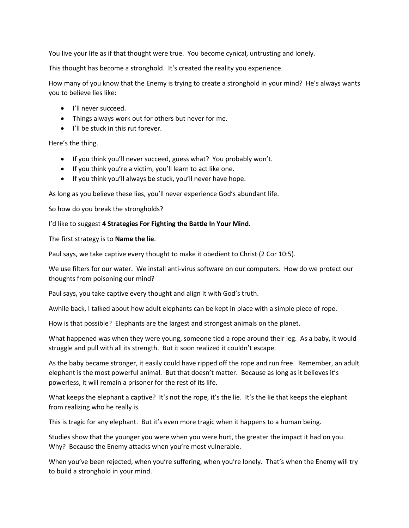You live your life as if that thought were true. You become cynical, untrusting and lonely.

This thought has become a stronghold. It's created the reality you experience.

How many of you know that the Enemy is trying to create a stronghold in your mind? He's always wants you to believe lies like:

- I'll never succeed.
- Things always work out for others but never for me.
- I'll be stuck in this rut forever.

Here's the thing.

- If you think you'll never succeed, guess what? You probably won't.
- If you think you're a victim, you'll learn to act like one.
- If you think you'll always be stuck, you'll never have hope.

As long as you believe these lies, you'll never experience God's abundant life.

So how do you break the strongholds?

I'd like to suggest **4 Strategies For Fighting the Battle In Your Mind.**

The first strategy is to **Name the lie**.

Paul says, we take captive every thought to make it obedient to Christ (2 Cor 10:5).

We use filters for our water. We install anti-virus software on our computers. How do we protect our thoughts from poisoning our mind?

Paul says, you take captive every thought and align it with God's truth.

Awhile back, I talked about how adult elephants can be kept in place with a simple piece of rope.

How is that possible? Elephants are the largest and strongest animals on the planet.

What happened was when they were young, someone tied a rope around their leg. As a baby, it would struggle and pull with all its strength. But it soon realized it couldn't escape.

As the baby became stronger, it easily could have ripped off the rope and run free. Remember, an adult elephant is the most powerful animal. But that doesn't matter. Because as long as it believes it's powerless, it will remain a prisoner for the rest of its life.

What keeps the elephant a captive? It's not the rope, it's the lie. It's the lie that keeps the elephant from realizing who he really is.

This is tragic for any elephant. But it's even more tragic when it happens to a human being.

Studies show that the younger you were when you were hurt, the greater the impact it had on you. Why? Because the Enemy attacks when you're most vulnerable.

When you've been rejected, when you're suffering, when you're lonely. That's when the Enemy will try to build a stronghold in your mind.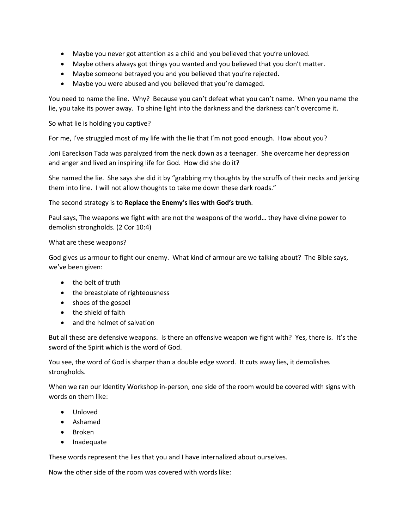- Maybe you never got attention as a child and you believed that you're unloved.
- Maybe others always got things you wanted and you believed that you don't matter.
- Maybe someone betrayed you and you believed that you're rejected.
- Maybe you were abused and you believed that you're damaged.

You need to name the line. Why? Because you can't defeat what you can't name. When you name the lie, you take its power away. To shine light into the darkness and the darkness can't overcome it.

So what lie is holding you captive?

For me, I've struggled most of my life with the lie that I'm not good enough. How about you?

Joni Eareckson Tada was paralyzed from the neck down as a teenager. She overcame her depression and anger and lived an inspiring life for God. How did she do it?

She named the lie. She says she did it by "grabbing my thoughts by the scruffs of their necks and jerking them into line. I will not allow thoughts to take me down these dark roads."

### The second strategy is to **Replace the Enemy's lies with God's truth**.

Paul says, The weapons we fight with are not the weapons of the world… they have divine power to demolish strongholds. (2 Cor 10:4)

#### What are these weapons?

God gives us armour to fight our enemy. What kind of armour are we talking about? The Bible says, we've been given:

- the belt of truth
- the breastplate of righteousness
- shoes of the gospel
- the shield of faith
- and the helmet of salvation

But all these are defensive weapons. Is there an offensive weapon we fight with? Yes, there is. It's the sword of the Spirit which is the word of God.

You see, the word of God is sharper than a double edge sword. It cuts away lies, it demolishes strongholds.

When we ran our Identity Workshop in-person, one side of the room would be covered with signs with words on them like:

- Unloved
- Ashamed
- Broken
- Inadequate

These words represent the lies that you and I have internalized about ourselves.

Now the other side of the room was covered with words like: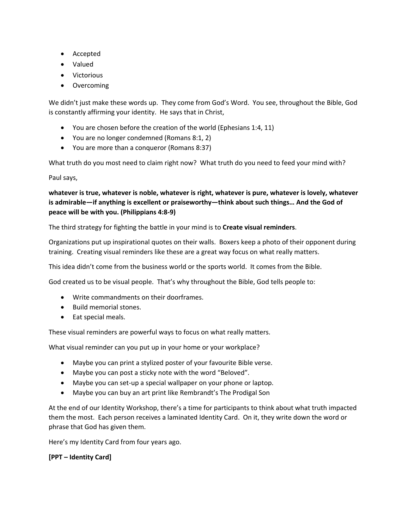- Accepted
- Valued
- Victorious
- Overcoming

We didn't just make these words up. They come from God's Word. You see, throughout the Bible, God is constantly affirming your identity. He says that in Christ,

- You are chosen before the creation of the world (Ephesians 1:4, 11)
- You are no longer condemned (Romans 8:1, 2)
- You are more than a conqueror (Romans 8:37)

What truth do you most need to claim right now? What truth do you need to feed your mind with?

Paul says,

**whatever is true, whatever is noble, whatever is right, whatever is pure, whatever is lovely, whatever is admirable—if anything is excellent or praiseworthy—think about such things… And the God of peace will be with you. (Philippians 4:8-9)**

The third strategy for fighting the battle in your mind is to **Create visual reminders**.

Organizations put up inspirational quotes on their walls. Boxers keep a photo of their opponent during training. Creating visual reminders like these are a great way focus on what really matters.

This idea didn't come from the business world or the sports world. It comes from the Bible.

God created us to be visual people. That's why throughout the Bible, God tells people to:

- Write commandments on their doorframes.
- Build memorial stones.
- Eat special meals.

These visual reminders are powerful ways to focus on what really matters.

What visual reminder can you put up in your home or your workplace?

- Maybe you can print a stylized poster of your favourite Bible verse.
- Maybe you can post a sticky note with the word "Beloved".
- Maybe you can set-up a special wallpaper on your phone or laptop.
- Maybe you can buy an art print like Rembrandt's The Prodigal Son

At the end of our Identity Workshop, there's a time for participants to think about what truth impacted them the most. Each person receives a laminated Identity Card. On it, they write down the word or phrase that God has given them.

Here's my Identity Card from four years ago.

## **[PPT – Identity Card]**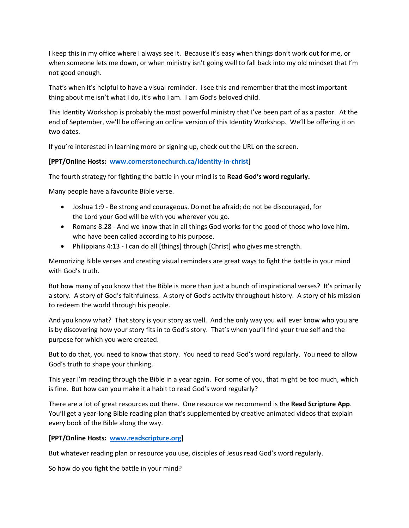I keep this in my office where I always see it. Because it's easy when things don't work out for me, or when someone lets me down, or when ministry isn't going well to fall back into my old mindset that I'm not good enough.

That's when it's helpful to have a visual reminder. I see this and remember that the most important thing about me isn't what I do, it's who I am. I am God's beloved child.

This Identity Workshop is probably the most powerful ministry that I've been part of as a pastor. At the end of September, we'll be offering an online version of this Identity Workshop. We'll be offering it on two dates.

If you're interested in learning more or signing up, check out the URL on the screen.

## **[PPT/Online Hosts: www.cornerstonechurch.ca/identity-in-christ]**

The fourth strategy for fighting the battle in your mind is to **Read God's word regularly.**

Many people have a favourite Bible verse.

- Joshua 1:9 Be strong and courageous. Do not be afraid; do not be discouraged, for the Lord your God will be with you wherever you go.
- Romans 8:28 And we know that in all things God works for the good of those who love him, who have been called according to his purpose.
- Philippians 4:13 I can do all [things] through [Christ] who gives me strength.

Memorizing Bible verses and creating visual reminders are great ways to fight the battle in your mind with God's truth.

But how many of you know that the Bible is more than just a bunch of inspirational verses? It's primarily a story. A story of God's faithfulness. A story of God's activity throughout history. A story of his mission to redeem the world through his people.

And you know what? That story is your story as well. And the only way you will ever know who you are is by discovering how your story fits in to God's story. That's when you'll find your true self and the purpose for which you were created.

But to do that, you need to know that story. You need to read God's word regularly. You need to allow God's truth to shape your thinking.

This year I'm reading through the Bible in a year again. For some of you, that might be too much, which is fine. But how can you make it a habit to read God's word regularly?

There are a lot of great resources out there. One resource we recommend is the **Read Scripture App**. You'll get a year-long Bible reading plan that's supplemented by creative animated videos that explain every book of the Bible along the way.

#### **[PPT/Online Hosts: www.readscripture.org]**

But whatever reading plan or resource you use, disciples of Jesus read God's word regularly.

So how do you fight the battle in your mind?